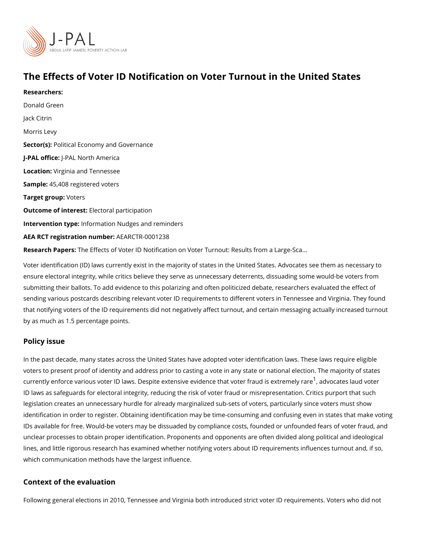# The Effects of Voter ID Notification on Voter Turnout in the

Researchers: [Donald G](https://www.povertyactionlab.org/person/green)reen Jack Citrin Morris Levy Sector(Rolitical Economy and Governance J-PAL of Ui-CRAL North America Locatio Wirginia and Tennessee Sample: 5,408 registered voters Target groWpters Outcome of interestatoral participation Intervention tympfeo: rmation Nudges and reminders AEA RCT registration ArEuAnRbCeTR-0001238 Research PapbesEffects of Voter ID Notification on Voter Turnout: Results from a Large-S

Voter identification (ID) laws currently exist in the majority of states in the United States ensure electoral integrity, while critics believe they serve as unnecessary deterrents, dis submitting their ballots. To add evidence to this polarizing and often politicized debate, i sending various postcards describing relevant voter ID requirements to different voters in that notifying voters of the ID requirements did not negatively affect turnout, and certain by as much as 1.5 percentage points.

### Policy issue

In the past decade, many states across the United States have adopted voter identificatio voters to present proof of identity and address prior to casting a vote in any state or nati currently enforce various voter ID laws. Despite extensive eviden $\hat{c}$ e atdhoad coad besrlfaruadu dvoisbeoex ID laws as safeguards for electoral integrity, reducing the risk of voter fraud or misreprestion. legislation creates an unnecessary hurdle for already marginalized sub-sets of voters, pa identification in order to register. Obtaining identification may be time-consuming and co IDs available for free. Would-be voters may be dissuaded by compliance costs, founded o unclear processes to obtain proper identification. Proponents and opponents are often div lines, and little rigorous research has examined whether notifying voters about ID require which communication methods have the largest influence.

#### Context of the evaluation

Following general elections in 2010, Tennessee and Virginia both introduced strict voter I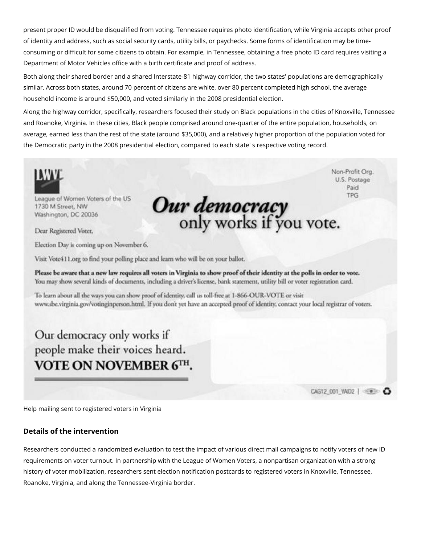present proper ID would be disqualified from voting. Tennessee requires photo identification, while Virginia accepts other proof of identity and address, such as social security cards, utility bills, or paychecks. Some forms of identification may be timeconsuming or difficult for some citizens to obtain. For example, in Tennessee, obtaining a free photo ID card requires visiting a Department of Motor Vehicles office with a birth certificate and proof of address.

Both along their shared border and a shared Interstate-81 highway corridor, the two states' populations are demographically similar. Across both states, around 70 percent of citizens are white, over 80 percent completed high school, the average household income is around \$50,000, and voted similarly in the 2008 presidential election.

Along the highway corridor, specifically, researchers focused their study on Black populations in the cities of Knoxville, Tennessee and Roanoke, Virginia. In these cities, Black people comprised around one-quarter of the entire population, households, on average, earned less than the rest of the state (around \$35,000), and a relatively higher proportion of the population voted for the Democratic party in the 2008 presidential election, compared to each state' s respective voting record.

Non-Profit Org. U.S. Postage Paid **TPG** League of Women Voters of the US **Our democracy**<br>only works if you vote. 1730 M Street, NW Washington, DC 20036 Dear Registered Voter. Election Day is coming up on November 6. Visit Vote411.org to find your polling place and learn who will be on your ballot. Please be aware that a new law requires all voters in Virginia to show proof of their identity at the polls in order to vote. You may show several kinds of documents, including a driver's license, bank statement, utility bill or voter registration card. To learn about all the ways you can show proof of identity, call us toll-free at 1-866-OUR-VOTE or visit www.sbe.virginia.gov/votinginperson.html. If you don't yet have an accepted proof of identity, contact your local registrar of voters. Our democracy only works if people make their voices heard. VOTE ON NOVEMBER 6TH.

Help mailing sent to registered voters in Virginia

## **Details of the intervention**

Researchers conducted a randomized evaluation to test the impact of various direct mail campaigns to notify voters of new ID requirements on voter turnout. In partnership with the League of Women Voters, a nonpartisan organization with a strong history of voter mobilization, researchers sent election notification postcards to registered voters in Knoxville, Tennessee, Roanoke, Virginia, and along the Tennessee-Virginia border.

CAG12\_001\_VAID2 |